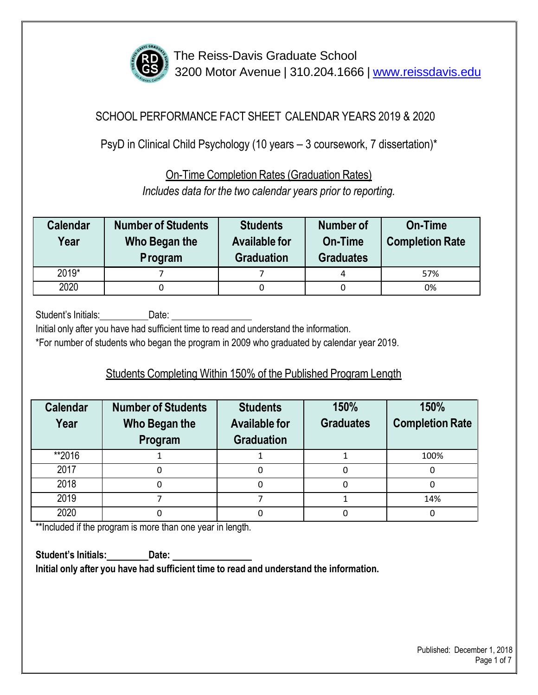

### SCHOOL PERFORMANCE FACT SHEET CALENDAR YEARS 2019 & 2020

PsyD in Clinical Child Psychology (10 years – 3 coursework, 7 dissertation)\*

On-Time Completion Rates (Graduation Rates)

*Includes data for the two calendar years prior to reporting.*

| <b>Calendar</b><br>Year | <b>Number of Students</b><br>Who Began the<br>Program | <b>Students</b><br><b>Available for</b><br><b>Graduation</b> | Number of<br>On-Time<br><b>Graduates</b> | On-Time<br><b>Completion Rate</b> |
|-------------------------|-------------------------------------------------------|--------------------------------------------------------------|------------------------------------------|-----------------------------------|
| $2019*$                 |                                                       |                                                              | 4                                        | 57%                               |
| 2020                    |                                                       |                                                              |                                          | 0%                                |

Student's Initials: Date:

Initial only after you have had sufficient time to read and understand the information.

\*For number of students who began the program in 2009 who graduated by calendar year 2019.

## Students Completing Within 150% of the Published Program Length

| <b>Calendar</b><br>Year | <b>Number of Students</b><br>Who Began the<br>Program | <b>Students</b><br><b>Available for</b><br><b>Graduation</b> | 150%<br><b>Graduates</b> | 150%<br><b>Completion Rate</b> |
|-------------------------|-------------------------------------------------------|--------------------------------------------------------------|--------------------------|--------------------------------|
| **2016                  |                                                       |                                                              |                          | 100%                           |
| 2017                    |                                                       | 0                                                            |                          |                                |
| 2018                    |                                                       | 0                                                            | 0                        |                                |
| 2019                    |                                                       |                                                              |                          | 14%                            |
| 2020                    |                                                       |                                                              |                          |                                |

\*\*Included if the program is more than one year in length.

**Student's Initials: Date: Initial only after you have had sufficient time to read and understand the information.**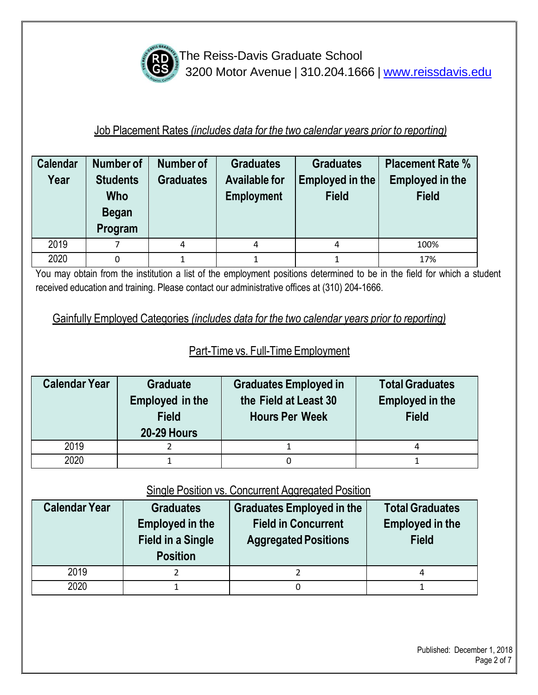

#### Job Placement Rates *(includes data for the two calendar years prior to reporting)*

| <b>Calendar</b><br>Year | Number of<br><b>Students</b><br><b>Who</b><br><b>Began</b><br>Program | Number of<br><b>Graduates</b> | <b>Graduates</b><br><b>Available for</b><br><b>Employment</b> | <b>Graduates</b><br><b>Employed in the</b><br><b>Field</b> | <b>Placement Rate %</b><br><b>Employed in the</b><br><b>Field</b> |
|-------------------------|-----------------------------------------------------------------------|-------------------------------|---------------------------------------------------------------|------------------------------------------------------------|-------------------------------------------------------------------|
| 2019                    |                                                                       | 4                             | 4                                                             |                                                            | 100%                                                              |
| 2020                    | 0                                                                     |                               |                                                               |                                                            | 17%                                                               |

You may obtain from the institution a list of the employment positions determined to be in the field for which a student received education and training. Please contact our administrative offices at (310) 204-1666.

Gainfully Employed Categories *(includes data for the two calendar years prior to reporting)*

## Part-Time vs. Full-Time Employment

| <b>Calendar Year</b> | <b>Graduate</b><br>Employed in the<br><b>Field</b><br><b>20-29 Hours</b> | <b>Graduates Employed in</b><br>the Field at Least 30<br><b>Hours Per Week</b> | <b>Total Graduates</b><br><b>Employed in the</b><br><b>Field</b> |
|----------------------|--------------------------------------------------------------------------|--------------------------------------------------------------------------------|------------------------------------------------------------------|
| 2019                 |                                                                          |                                                                                | 4                                                                |
| 2020                 |                                                                          |                                                                                |                                                                  |

#### Single Position vs. Concurrent Aggregated Position

| <b>Calendar Year</b> | <b>Graduates</b><br><b>Employed in the</b><br><b>Field in a Single</b><br><b>Position</b> | <b>Graduates Employed in the</b><br><b>Field in Concurrent</b><br><b>Aggregated Positions</b> | <b>Total Graduates</b><br><b>Employed in the</b><br><b>Field</b> |
|----------------------|-------------------------------------------------------------------------------------------|-----------------------------------------------------------------------------------------------|------------------------------------------------------------------|
| 2019                 |                                                                                           |                                                                                               | 4                                                                |
| 2020                 |                                                                                           |                                                                                               |                                                                  |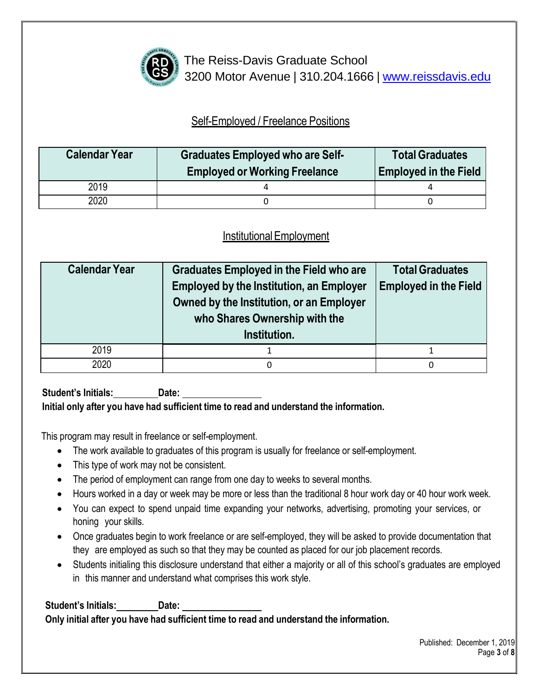

## Self-Employed / Freelance Positions

| <b>Calendar Year</b> | <b>Graduates Employed who are Self-</b><br><b>Employed or Working Freelance</b> | <b>Total Graduates</b><br><b>Employed in the Field</b> |
|----------------------|---------------------------------------------------------------------------------|--------------------------------------------------------|
| 2019                 |                                                                                 |                                                        |
| 2020                 |                                                                                 |                                                        |

## InstitutionalEmployment

| <b>Calendar Year</b> | <b>Graduates Employed in the Field who are</b><br><b>Employed by the Institution, an Employer</b><br>Owned by the Institution, or an Employer<br>who Shares Ownership with the<br>Institution. | <b>Total Graduates</b><br><b>Employed in the Field</b> |
|----------------------|------------------------------------------------------------------------------------------------------------------------------------------------------------------------------------------------|--------------------------------------------------------|
| 2019                 |                                                                                                                                                                                                |                                                        |
| 2020                 | 0                                                                                                                                                                                              | 0                                                      |

**Student's Initials: Date: Initial only after you have had sufficient time to read and understand the information.**

This program may result in freelance or self-employment.

- The work available to graduates of this program is usually for freelance or self-employment.
- This type of work may not be consistent.
- The period of employment can range from one day to weeks to several months.
- Hours worked in a day or week may be more or less than the traditional 8 hour work day or 40 hour work week.
- You can expect to spend unpaid time expanding your networks, advertising, promoting your services, or honing your skills.
- Once graduates begin to work freelance or are self-employed, they will be asked to provide documentation that they are employed as such so that they may be counted as placed for our job placement records.
- Students initialing this disclosure understand that either a majority or all of this school's graduates are employed in this manner and understand what comprises this work style.

**Student's Initials: Date: Only initial after you have had sufficient time to read and understand the information.**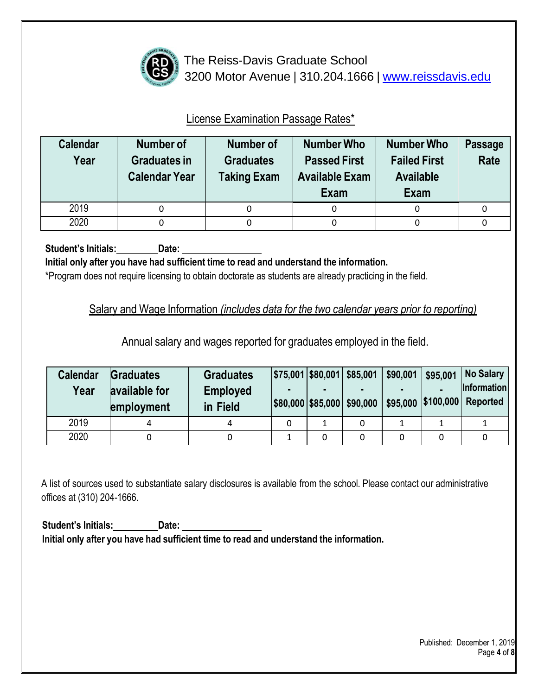

## License Examination Passage Rates\*

| <b>Calendar</b><br>Year | Number of<br><b>Graduates in</b><br><b>Calendar Year</b> | <b>Number of</b><br><b>Graduates</b><br><b>Taking Exam</b> | <b>Number Who</b><br><b>Passed First</b><br><b>Available Exam</b><br>Exam | <b>Number Who</b><br><b>Failed First</b><br><b>Available</b><br><b>Exam</b> | <b>Passage</b><br>Rate |
|-------------------------|----------------------------------------------------------|------------------------------------------------------------|---------------------------------------------------------------------------|-----------------------------------------------------------------------------|------------------------|
| 2019                    |                                                          |                                                            |                                                                           |                                                                             |                        |
| 2020                    | 0                                                        |                                                            | 0                                                                         | 0                                                                           | 0                      |

**Student's Initials: Date:**

**Initial only after you have had sufficient time to read and understand the information.**

\*Program does not require licensing to obtain doctorate as students are already practicing in the field.

Salary and Wage Information *(includes data for the two calendar years prior to reporting)* 

Annual salary and wages reported for graduates employed in the field.

| <b>Calendar</b><br>Year | <b>Graduates</b><br>available for | <b>Graduates</b><br><b>Employed</b><br>in Field |  | \$75,001 \$80,001 \$85,001<br> \$80,000 \$85,000 \$90,000 | \$90,001 | \$95,001 | No Salary<br>Information<br>\$95,000 \$100,000 Reported |
|-------------------------|-----------------------------------|-------------------------------------------------|--|-----------------------------------------------------------|----------|----------|---------------------------------------------------------|
|                         | employment                        |                                                 |  |                                                           |          |          |                                                         |
| 2019                    | 4                                 | 4                                               |  |                                                           |          |          |                                                         |
| 2020                    |                                   |                                                 |  |                                                           |          |          |                                                         |

A list of sources used to substantiate salary disclosures is available from the school. Please contact our administrative offices at (310) 204-1666.

**Student's Initials: Date: Initial only after you have had sufficient time to read and understand the information.**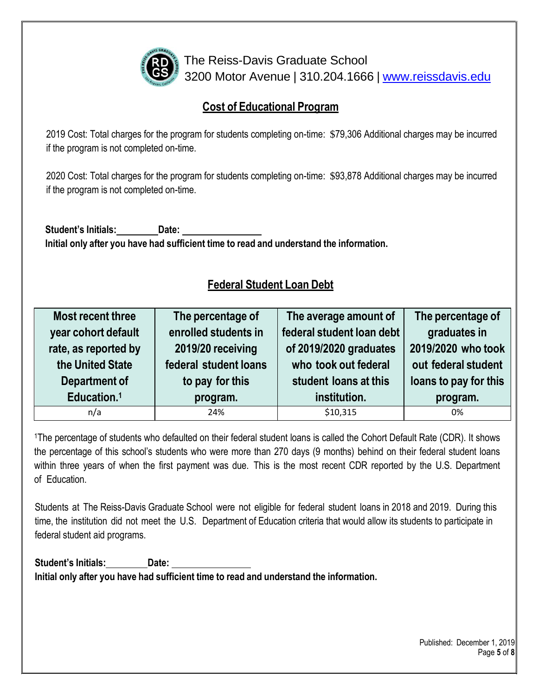

#### **Cost of Educational Program**

2019 Cost: Total charges for the program for students completing on-time: \$79,306 Additional charges may be incurred if the program is not completed on-time.

2020 Cost: Total charges for the program for students completing on-time: \$93,878 Additional charges may be incurred if the program is not completed on-time.

**Student's Initials: Date: Initial only after you have had sufficient time to read and understand the information.**

## **Federal Student Loan Debt**

| Most recent three       | The percentage of     | The average amount of     | The percentage of     |
|-------------------------|-----------------------|---------------------------|-----------------------|
| year cohort default     | enrolled students in  | federal student loan debt | graduates in          |
| rate, as reported by    | 2019/20 receiving     | of 2019/2020 graduates    | 2019/2020 who took    |
| the United State        | federal student loans | who took out federal      | out federal student   |
| Department of           | to pay for this       | student loans at this     | loans to pay for this |
| Education. <sup>1</sup> | program.              | institution.              | program.              |
| n/a                     | 24%                   | \$10,315                  | 0%                    |

<sup>1</sup>The percentage of students who defaulted on their federal student loans is called the Cohort Default Rate (CDR). It shows the percentage of this school's students who were more than 270 days (9 months) behind on their federal student loans within three years of when the first payment was due. This is the most recent CDR reported by the U.S. Department of Education.

Students at The Reiss-Davis Graduate School were not eligible for federal student loans in 2018 and 2019. During this time, the institution did not meet the U.S. Department of Education criteria that would allow its students to participate in federal student aid programs.

**Student's Initials: Date: Initial only after you have had sufficient time to read and understand the information.**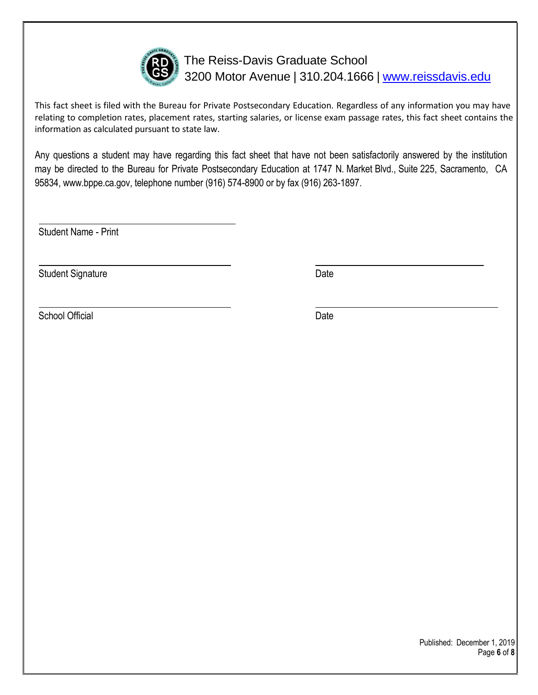

This fact sheet is filed with the Bureau for Private Postsecondary Education. Regardless of any information you may have relating to completion rates, placement rates, starting salaries, or license exam passage rates, this fact sheet contains the information as calculated pursuant to state law.

Any questions a student may have regarding this fact sheet that have not been satisfactorily answered by the institution may be directed to the Bureau for Private Postsecondary Education at 1747 N. Market Blvd., Suite 225, Sacramento, CA 95834[, www.bppe.ca.gov,](http://www.bppe.ca.gov/) telephone number (916) 574-8900 or by fax (916) 263-1897.

Student Name - Print

Student Signature Date Date

School Official Date Date Date Date Date Date Date

Published: December 1, 2019 Page **6** of **8**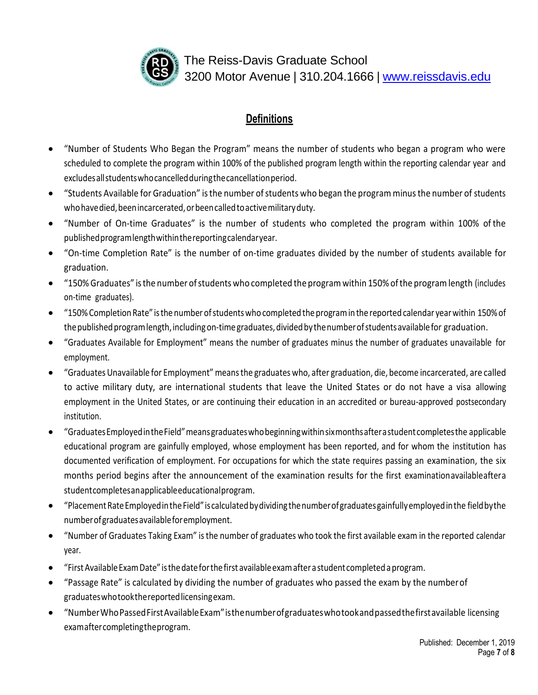

#### **Definitions**

- "Number of Students Who Began the Program" means the number of students who began a program who were scheduled to complete the program within 100% of the published program length within the reporting calendar year and excludesallstudentswhocancelledduringthecancellationperiod.
- "Students Available for Graduation" isthe number ofstudents who began the program minusthe number of students who have died, been incarcerated, or been called to active military duty.
- "Number of On-time Graduates" is the number of students who completed the program within 100% of the publishedprogramlengthwithinthereportingcalendaryear.
- "On-time Completion Rate" is the number of on-time graduates divided by the number of students available for graduation.
- "150% Graduates" isthe number ofstudents who completed the programwithin 150% ofthe programlength (includes on-time graduates).
- "150%Completion Rate" isthenumber ofstudentswho completed theprogramin the reported calendar yearwithin 150%of the published program length, including on-time graduates, divided by the number of students available for graduation.
- "Graduates Available for Employment" means the number of graduates minus the number of graduates unavailable for employment.
- "Graduates Unavailable for Employment" meansthe graduates who, after graduation, die, become incarcerated, are called to active military duty, are international students that leave the United States or do not have a visa allowing employment in the United States, or are continuing their education in an accredited or bureau-approved postsecondary institution.
- "GraduatesEmployedintheField"meansgraduateswhobeginningwithinsixmonthsafterastudent completesthe applicable educational program are gainfully employed, whose employment has been reported, and for whom the institution has documented verification of employment. For occupations for which the state requires passing an examination, the six months period begins after the announcement of the examination results for the first examinationavailableaftera studentcompletesanapplicableeducationalprogram.
- "PlacementRateEmployedintheField"iscalculatedbydividingthenumberofgraduatesgainfullyemployedinthe fieldbythe numberofgraduatesavailableforemployment.
- "Number of Graduates Taking Exam" isthe number of graduates who took the first available exam in the reported calendar year.
- "FirstAvailableExamDate" isthedateforthefirst availableexamafter a student completedaprogram.
- "Passage Rate" is calculated by dividing the number of graduates who passed the exam by the numberof graduateswhotookthereportedlicensingexam.
- "NumberWhoPassedFirstAvailableExam"isthenumberofgraduateswhotookandpassedthefirstavailable licensing examaftercompletingtheprogram.